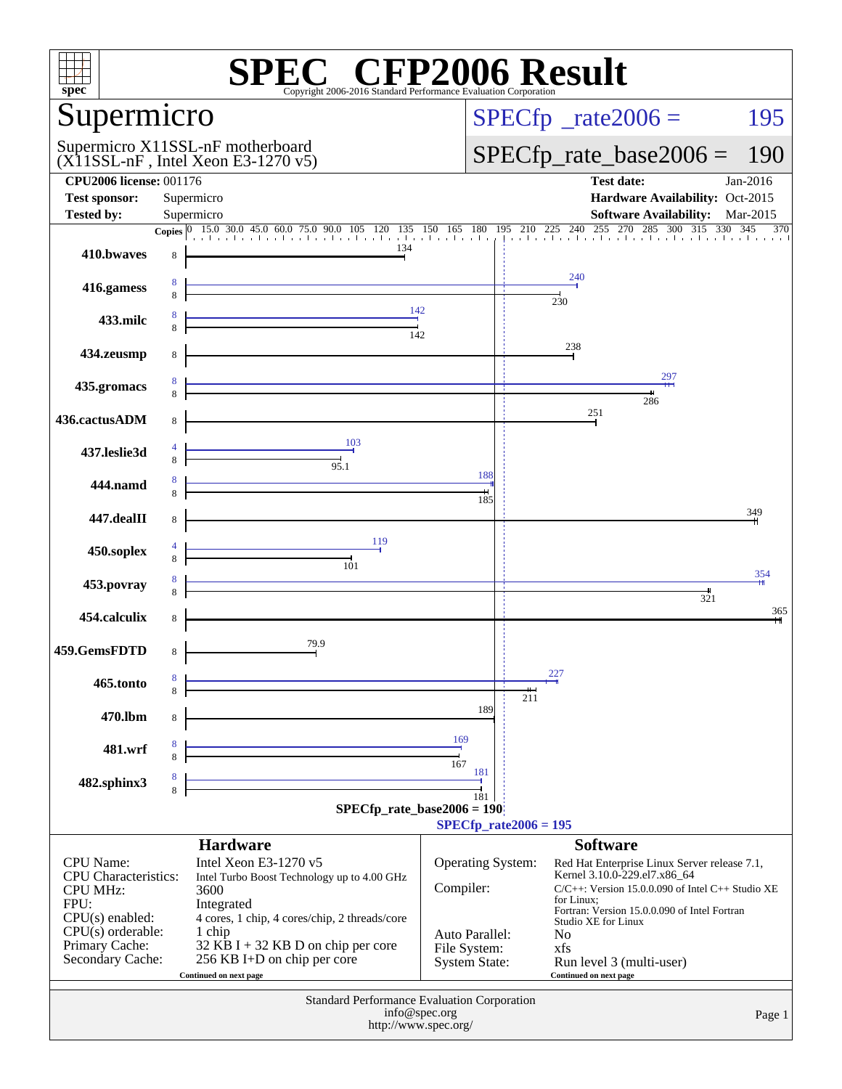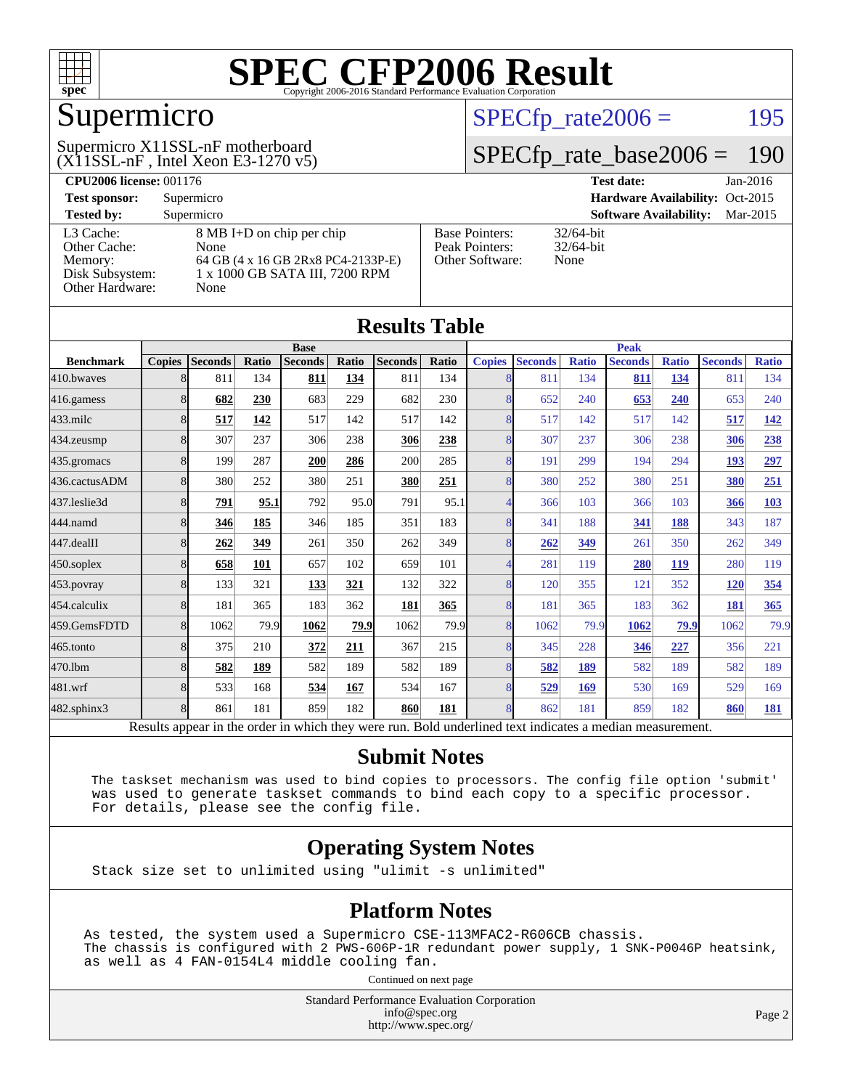

### Supermicro

 $(X11SSL-nF)$ , Intel Xeon E3-1270 v5) Supermicro X11SSL-nF motherboard

 $SPECTp_rate2006 = 195$ 

#### [SPECfp\\_rate\\_base2006 =](http://www.spec.org/auto/cpu2006/Docs/result-fields.html#SPECfpratebase2006) 190

| <b>CPU2006 license: 001176</b> |                                    |                       | <b>Test date:</b><br>$Jan-2016$           |
|--------------------------------|------------------------------------|-----------------------|-------------------------------------------|
| <b>Test sponsor:</b>           | Supermicro                         |                       | Hardware Availability: Oct-2015           |
| <b>Tested by:</b>              | Supermicro                         |                       | <b>Software Availability:</b><br>Mar-2015 |
| L3 Cache:                      | 8 MB I+D on chip per chip          | <b>Base Pointers:</b> | $32/64$ -bit                              |
| Other Cache:                   | None                               | Peak Pointers:        | $32/64$ -bit                              |
| Memory:                        | 64 GB (4 x 16 GB 2Rx8 PC4-2133P-E) | Other Software:       | None                                      |
| Disk Subsystem:                | 1 x 1000 GB SATA III, 7200 RPM     |                       |                                           |
| Other Hardware:                | None                               |                       |                                           |

| <b>Results Table</b> |                                                                                                          |                |       |                |       |                |              |                |                |              |                |              |                |              |
|----------------------|----------------------------------------------------------------------------------------------------------|----------------|-------|----------------|-------|----------------|--------------|----------------|----------------|--------------|----------------|--------------|----------------|--------------|
|                      | <b>Base</b>                                                                                              |                |       | <b>Peak</b>    |       |                |              |                |                |              |                |              |                |              |
| <b>Benchmark</b>     | <b>Copies</b>                                                                                            | <b>Seconds</b> | Ratio | <b>Seconds</b> | Ratio | <b>Seconds</b> | <b>Ratio</b> | <b>Copies</b>  | <b>Seconds</b> | <b>Ratio</b> | <b>Seconds</b> | <b>Ratio</b> | <b>Seconds</b> | <b>Ratio</b> |
| 410.bwayes           | 8                                                                                                        | 811            | 134   | 811            | 134   | 811            | 134          | 8              | 811            | 134          | 811            | 134          | 811            | 134          |
| 416.gamess           | 8                                                                                                        | 682            | 230   | 683            | 229   | 682            | 230          | 8              | 652            | 240          | 653            | 240          | 653            | 240          |
| 433.milc             | 8                                                                                                        | 517            | 142   | 517            | 142   | 517            | 142          | $\overline{8}$ | 517            | 142          | 517            | 142          | 517            | 142          |
| 434.zeusmp           | 8                                                                                                        | 307            | 237   | 306            | 238   | 306            | 238          | 8              | 307            | 237          | 306            | 238          | 306            | 238          |
| 435.gromacs          | 8                                                                                                        | 199            | 287   | 200            | 286   | 200            | 285          | $\overline{8}$ | 191            | 299          | 194            | 294          | 193            | 297          |
| 436.cactusADM        | 8                                                                                                        | 380            | 252   | 380            | 251   | 380            | 251          | 8              | 380            | 252          | 380            | 251          | 380            | 251          |
| 437.leslie3d         | 8                                                                                                        | 791            | 95.1  | 792            | 95.0  | 791            | 95.1         | 4              | 366            | 103          | 366            | 103          | 366            | 103          |
| 444.namd             | 8                                                                                                        | 346            | 185   | 346            | 185   | 351            | 183          | 8              | 341            | 188          | <u>341</u>     | 188          | 343            | 187          |
| 447.dealII           | 8                                                                                                        | 262            | 349   | 261            | 350   | 262            | 349          | 8              | 262            | 349          | 261            | 350          | 262            | 349          |
| 450.soplex           | 8                                                                                                        | 658            | 101   | 657            | 102   | 659            | 101          | $\overline{4}$ | 281            | 119          | 280            | 119          | 280            | 119          |
| 453.povray           | 8                                                                                                        | 133            | 321   | 133            | 321   | 132            | 322          | 8              | 120            | 355          | 121            | 352          | <b>120</b>     | 354          |
| 454.calculix         | 8                                                                                                        | 181            | 365   | 183            | 362   | 181            | 365          | $\overline{8}$ | 181            | 365          | 183            | 362          | 181            | 365          |
| 459.GemsFDTD         | $\overline{8}$                                                                                           | 1062           | 79.9  | 1062           | 79.9  | 1062           | 79.9         | $\overline{8}$ | 1062           | 79.9         | 1062           | 79.9         | 1062           | 79.9         |
| 465.tonto            | 8                                                                                                        | 375            | 210   | 372            | 211   | 367            | 215          | 8              | 345            | 228          | 346            | 227          | 356            | 221          |
| 470.1bm              | 8                                                                                                        | 582            | 189   | 582            | 189   | 582            | 189          | 8              | 582            | 189          | 582            | 189          | 582            | 189          |
| 481.wrf              | 8                                                                                                        | 533            | 168   | 534            | 167   | 534            | 167          | 8              | 529            | 169          | 530            | 169          | 529            | 169          |
| 482.sphinx3          | 8                                                                                                        | 861            | 181   | 859            | 182   | 860            | 181          | $\overline{8}$ | 862            | 181          | 859            | 182          | 860            | 181          |
|                      | Results appear in the order in which they were run. Bold underlined text indicates a median measurement. |                |       |                |       |                |              |                |                |              |                |              |                |              |

#### **[Submit Notes](http://www.spec.org/auto/cpu2006/Docs/result-fields.html#SubmitNotes)**

 The taskset mechanism was used to bind copies to processors. The config file option 'submit' was used to generate taskset commands to bind each copy to a specific processor. For details, please see the config file.

#### **[Operating System Notes](http://www.spec.org/auto/cpu2006/Docs/result-fields.html#OperatingSystemNotes)**

Stack size set to unlimited using "ulimit -s unlimited"

#### **[Platform Notes](http://www.spec.org/auto/cpu2006/Docs/result-fields.html#PlatformNotes)**

As tested, the system used a Supermicro CSE-113MFAC2-R606CB chassis. The chassis is configured with 2 PWS-606P-1R redundant power supply, 1 SNK-P0046P heatsink, as well as 4 FAN-0154L4 middle cooling fan.

Continued on next page

Standard Performance Evaluation Corporation [info@spec.org](mailto:info@spec.org) <http://www.spec.org/>

Page 2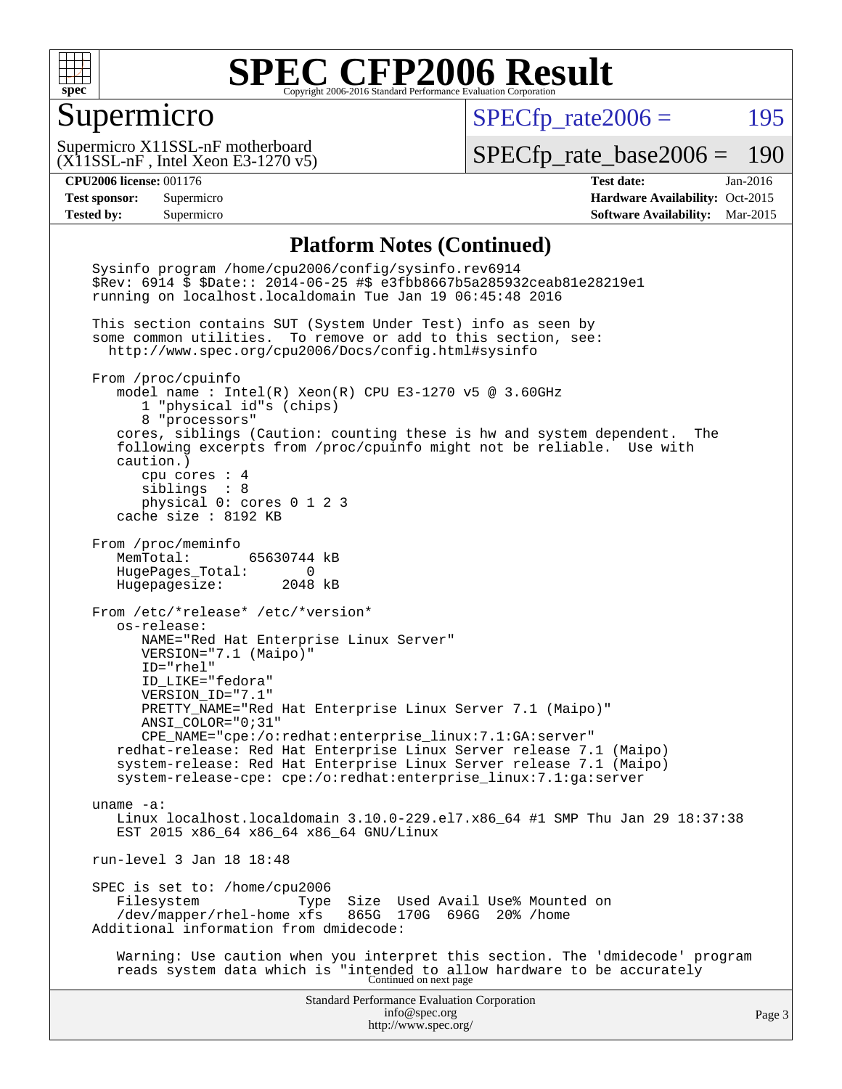

#### Supermicro

 $SPECTp_rate2006 = 195$ 

(X11SSL-nF , Intel Xeon E3-1270 v5) Supermicro X11SSL-nF motherboard

[SPECfp\\_rate\\_base2006 =](http://www.spec.org/auto/cpu2006/Docs/result-fields.html#SPECfpratebase2006) 190

**[CPU2006 license:](http://www.spec.org/auto/cpu2006/Docs/result-fields.html#CPU2006license)** 001176 **[Test date:](http://www.spec.org/auto/cpu2006/Docs/result-fields.html#Testdate)** Jan-2016 **[Test sponsor:](http://www.spec.org/auto/cpu2006/Docs/result-fields.html#Testsponsor)** Supermicro Supermicro **[Hardware Availability:](http://www.spec.org/auto/cpu2006/Docs/result-fields.html#HardwareAvailability)** Oct-2015 **[Tested by:](http://www.spec.org/auto/cpu2006/Docs/result-fields.html#Testedby)** Supermicro **Supermicro [Software Availability:](http://www.spec.org/auto/cpu2006/Docs/result-fields.html#SoftwareAvailability)** Mar-2015

#### **[Platform Notes \(Continued\)](http://www.spec.org/auto/cpu2006/Docs/result-fields.html#PlatformNotes)**

Standard Performance Evaluation Corporation [info@spec.org](mailto:info@spec.org) <http://www.spec.org/> Page 3 Sysinfo program /home/cpu2006/config/sysinfo.rev6914 \$Rev: 6914 \$ \$Date:: 2014-06-25 #\$ e3fbb8667b5a285932ceab81e28219e1 running on localhost.localdomain Tue Jan 19 06:45:48 2016 This section contains SUT (System Under Test) info as seen by some common utilities. To remove or add to this section, see: <http://www.spec.org/cpu2006/Docs/config.html#sysinfo> From /proc/cpuinfo model name : Intel(R) Xeon(R) CPU E3-1270 v5 @ 3.60GHz 1 "physical id"s (chips) 8 "processors" cores, siblings (Caution: counting these is hw and system dependent. The following excerpts from /proc/cpuinfo might not be reliable. Use with caution.) cpu cores : 4 siblings : 8 physical 0: cores 0 1 2 3 cache size : 8192 KB From /proc/meminfo MemTotal: 65630744 kB HugePages\_Total: 0 Hugepagesize: 2048 kB From /etc/\*release\* /etc/\*version\* os-release: NAME="Red Hat Enterprise Linux Server" VERSION="7.1 (Maipo)" ID="rhel" ID\_LIKE="fedora" VERSION\_ID="7.1" PRETTY\_NAME="Red Hat Enterprise Linux Server 7.1 (Maipo)" ANSI\_COLOR="0;31" CPE\_NAME="cpe:/o:redhat:enterprise\_linux:7.1:GA:server" redhat-release: Red Hat Enterprise Linux Server release 7.1 (Maipo) system-release: Red Hat Enterprise Linux Server release 7.1 (Maipo) system-release-cpe: cpe:/o:redhat:enterprise\_linux:7.1:ga:server uname -a: Linux localhost.localdomain 3.10.0-229.el7.x86\_64 #1 SMP Thu Jan 29 18:37:38 EST 2015 x86\_64 x86\_64 x86\_64 GNU/Linux run-level 3 Jan 18 18:48 SPEC is set to: /home/cpu2006<br>Filesystem Type Type Size Used Avail Use% Mounted on<br>xfs 865G 170G 696G 20% /home  $/$ dev/mapper/rhel-home  $x$ fs Additional information from dmidecode: Warning: Use caution when you interpret this section. The 'dmidecode' program reads system data which is "intended to allow hardware to be accurately Continued on next page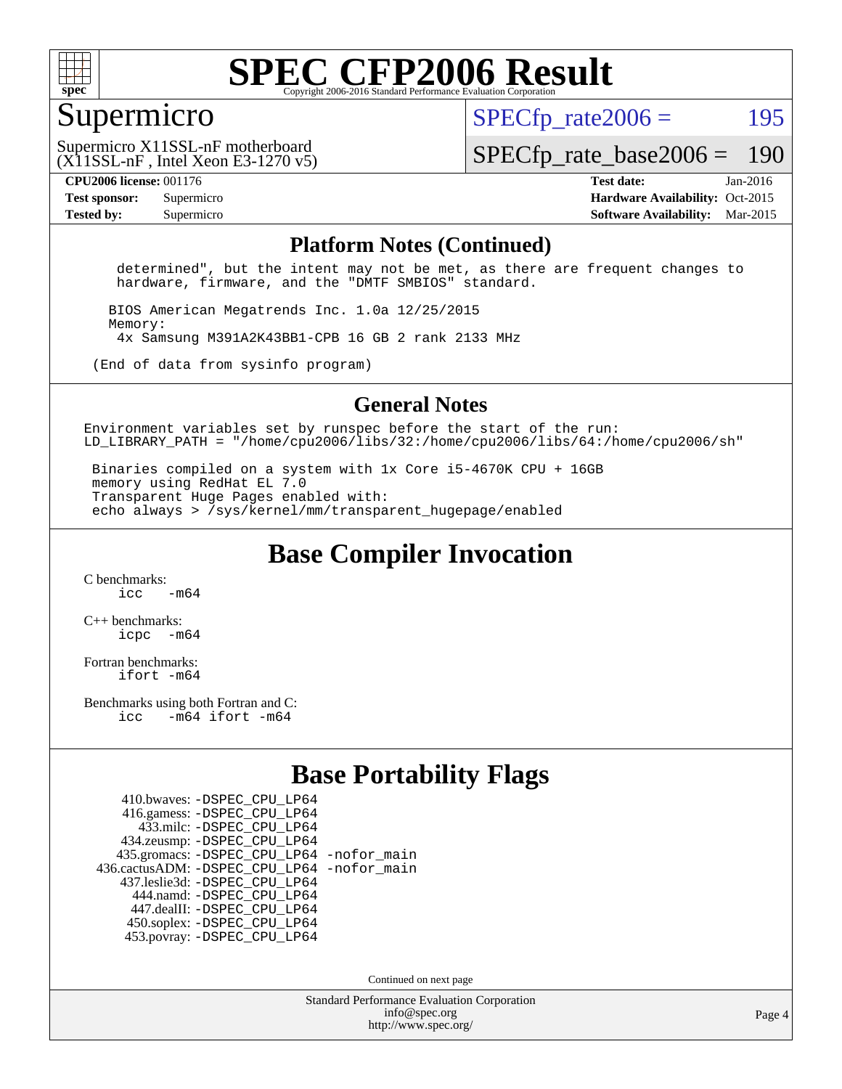

#### Supermicro

 $SPECTp\_rate2006 = 195$ 

(X11SSL-nF , Intel Xeon E3-1270 v5) Supermicro X11SSL-nF motherboard

[SPECfp\\_rate\\_base2006 =](http://www.spec.org/auto/cpu2006/Docs/result-fields.html#SPECfpratebase2006) 190

**[CPU2006 license:](http://www.spec.org/auto/cpu2006/Docs/result-fields.html#CPU2006license)** 001176 **[Test date:](http://www.spec.org/auto/cpu2006/Docs/result-fields.html#Testdate)** Jan-2016 **[Test sponsor:](http://www.spec.org/auto/cpu2006/Docs/result-fields.html#Testsponsor)** Supermicro Supermicro **[Hardware Availability:](http://www.spec.org/auto/cpu2006/Docs/result-fields.html#HardwareAvailability)** Oct-2015 **[Tested by:](http://www.spec.org/auto/cpu2006/Docs/result-fields.html#Testedby)** Supermicro **Supermicro [Software Availability:](http://www.spec.org/auto/cpu2006/Docs/result-fields.html#SoftwareAvailability)** Mar-2015

#### **[Platform Notes \(Continued\)](http://www.spec.org/auto/cpu2006/Docs/result-fields.html#PlatformNotes)**

 determined", but the intent may not be met, as there are frequent changes to hardware, firmware, and the "DMTF SMBIOS" standard.

 BIOS American Megatrends Inc. 1.0a 12/25/2015 Memory: 4x Samsung M391A2K43BB1-CPB 16 GB 2 rank 2133 MHz

(End of data from sysinfo program)

#### **[General Notes](http://www.spec.org/auto/cpu2006/Docs/result-fields.html#GeneralNotes)**

Environment variables set by runspec before the start of the run: LD LIBRARY PATH = "/home/cpu2006/libs/32:/home/cpu2006/libs/64:/home/cpu2006/sh"

 Binaries compiled on a system with 1x Core i5-4670K CPU + 16GB memory using RedHat EL 7.0 Transparent Huge Pages enabled with: echo always > /sys/kernel/mm/transparent\_hugepage/enabled

**[Base Compiler Invocation](http://www.spec.org/auto/cpu2006/Docs/result-fields.html#BaseCompilerInvocation)**

[C benchmarks](http://www.spec.org/auto/cpu2006/Docs/result-fields.html#Cbenchmarks):  $\frac{1}{2}$  cc  $-$  m64

[C++ benchmarks:](http://www.spec.org/auto/cpu2006/Docs/result-fields.html#CXXbenchmarks) [icpc -m64](http://www.spec.org/cpu2006/results/res2016q1/cpu2006-20160120-38732.flags.html#user_CXXbase_intel_icpc_64bit_bedb90c1146cab66620883ef4f41a67e)

[Fortran benchmarks](http://www.spec.org/auto/cpu2006/Docs/result-fields.html#Fortranbenchmarks): [ifort -m64](http://www.spec.org/cpu2006/results/res2016q1/cpu2006-20160120-38732.flags.html#user_FCbase_intel_ifort_64bit_ee9d0fb25645d0210d97eb0527dcc06e)

[Benchmarks using both Fortran and C](http://www.spec.org/auto/cpu2006/Docs/result-fields.html#BenchmarksusingbothFortranandC): [icc -m64](http://www.spec.org/cpu2006/results/res2016q1/cpu2006-20160120-38732.flags.html#user_CC_FCbase_intel_icc_64bit_0b7121f5ab7cfabee23d88897260401c) [ifort -m64](http://www.spec.org/cpu2006/results/res2016q1/cpu2006-20160120-38732.flags.html#user_CC_FCbase_intel_ifort_64bit_ee9d0fb25645d0210d97eb0527dcc06e)

#### **[Base Portability Flags](http://www.spec.org/auto/cpu2006/Docs/result-fields.html#BasePortabilityFlags)**

| 410.bwaves: - DSPEC CPU LP64                 |  |
|----------------------------------------------|--|
| 416.gamess: -DSPEC_CPU_LP64                  |  |
| 433.milc: - DSPEC_CPU LP64                   |  |
| 434.zeusmp: -DSPEC_CPU_LP64                  |  |
| 435.gromacs: -DSPEC_CPU_LP64 -nofor_main     |  |
| 436.cactusADM: - DSPEC CPU LP64 - nofor main |  |
| 437.leslie3d: -DSPEC CPU LP64                |  |
| 444.namd: - DSPEC_CPU_LP64                   |  |
| 447.dealII: -DSPEC CPU LP64                  |  |
| 450.soplex: -DSPEC_CPU_LP64                  |  |
| 453.povray: -DSPEC CPU LP64                  |  |

Continued on next page

Standard Performance Evaluation Corporation [info@spec.org](mailto:info@spec.org) <http://www.spec.org/>

Page 4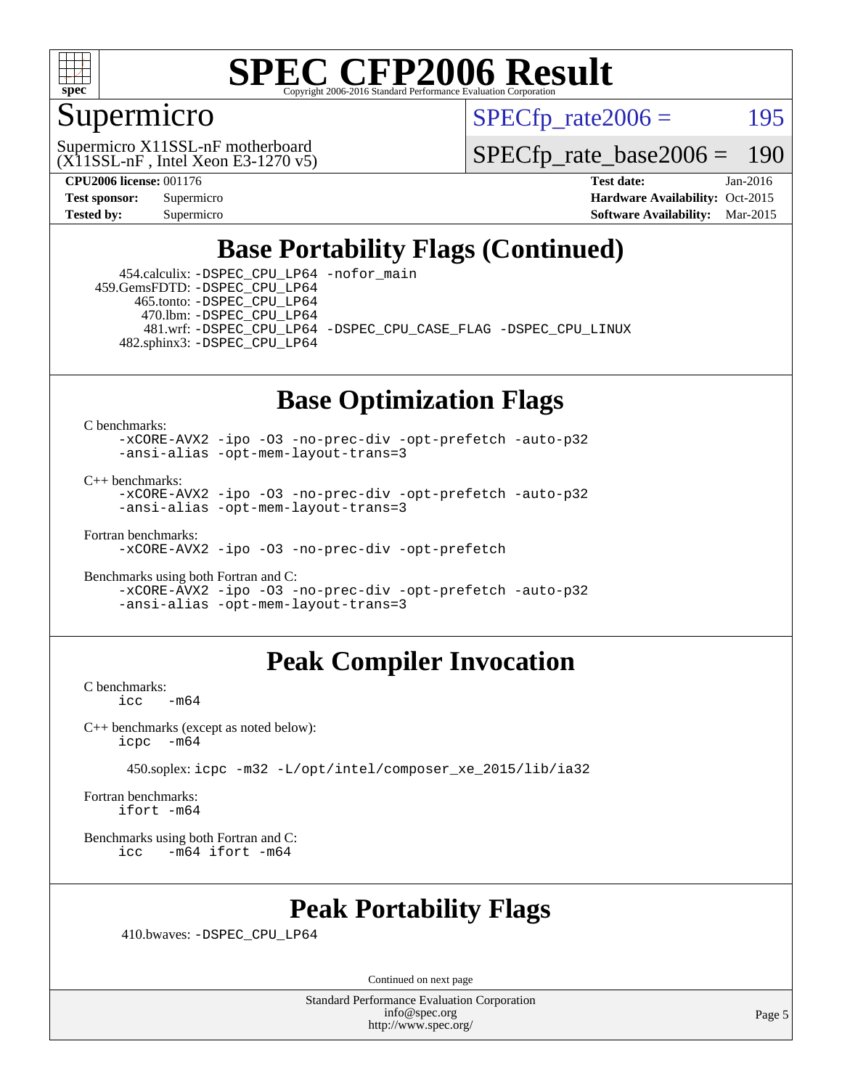

### Supermicro

 $SPECTp\_rate2006 = 195$ 

(X11SSL-nF , Intel Xeon E3-1270 v5) Supermicro X11SSL-nF motherboard

[SPECfp\\_rate\\_base2006 =](http://www.spec.org/auto/cpu2006/Docs/result-fields.html#SPECfpratebase2006) 190

**[CPU2006 license:](http://www.spec.org/auto/cpu2006/Docs/result-fields.html#CPU2006license)** 001176 **[Test date:](http://www.spec.org/auto/cpu2006/Docs/result-fields.html#Testdate)** Jan-2016 **[Test sponsor:](http://www.spec.org/auto/cpu2006/Docs/result-fields.html#Testsponsor)** Supermicro Supermicro **[Hardware Availability:](http://www.spec.org/auto/cpu2006/Docs/result-fields.html#HardwareAvailability)** Oct-2015 **[Tested by:](http://www.spec.org/auto/cpu2006/Docs/result-fields.html#Testedby)** Supermicro **[Software Availability:](http://www.spec.org/auto/cpu2006/Docs/result-fields.html#SoftwareAvailability)** Mar-2015

### **[Base Portability Flags \(Continued\)](http://www.spec.org/auto/cpu2006/Docs/result-fields.html#BasePortabilityFlags)**

 454.calculix: [-DSPEC\\_CPU\\_LP64](http://www.spec.org/cpu2006/results/res2016q1/cpu2006-20160120-38732.flags.html#suite_basePORTABILITY454_calculix_DSPEC_CPU_LP64) [-nofor\\_main](http://www.spec.org/cpu2006/results/res2016q1/cpu2006-20160120-38732.flags.html#user_baseLDPORTABILITY454_calculix_f-nofor_main) 459.GemsFDTD: [-DSPEC\\_CPU\\_LP64](http://www.spec.org/cpu2006/results/res2016q1/cpu2006-20160120-38732.flags.html#suite_basePORTABILITY459_GemsFDTD_DSPEC_CPU_LP64) 465.tonto: [-DSPEC\\_CPU\\_LP64](http://www.spec.org/cpu2006/results/res2016q1/cpu2006-20160120-38732.flags.html#suite_basePORTABILITY465_tonto_DSPEC_CPU_LP64) 470.lbm: [-DSPEC\\_CPU\\_LP64](http://www.spec.org/cpu2006/results/res2016q1/cpu2006-20160120-38732.flags.html#suite_basePORTABILITY470_lbm_DSPEC_CPU_LP64) 481.wrf: [-DSPEC\\_CPU\\_LP64](http://www.spec.org/cpu2006/results/res2016q1/cpu2006-20160120-38732.flags.html#suite_basePORTABILITY481_wrf_DSPEC_CPU_LP64) [-DSPEC\\_CPU\\_CASE\\_FLAG](http://www.spec.org/cpu2006/results/res2016q1/cpu2006-20160120-38732.flags.html#b481.wrf_baseCPORTABILITY_DSPEC_CPU_CASE_FLAG) [-DSPEC\\_CPU\\_LINUX](http://www.spec.org/cpu2006/results/res2016q1/cpu2006-20160120-38732.flags.html#b481.wrf_baseCPORTABILITY_DSPEC_CPU_LINUX) 482.sphinx3: [-DSPEC\\_CPU\\_LP64](http://www.spec.org/cpu2006/results/res2016q1/cpu2006-20160120-38732.flags.html#suite_basePORTABILITY482_sphinx3_DSPEC_CPU_LP64)

### **[Base Optimization Flags](http://www.spec.org/auto/cpu2006/Docs/result-fields.html#BaseOptimizationFlags)**

[C benchmarks](http://www.spec.org/auto/cpu2006/Docs/result-fields.html#Cbenchmarks):

[-xCORE-AVX2](http://www.spec.org/cpu2006/results/res2016q1/cpu2006-20160120-38732.flags.html#user_CCbase_f-xAVX2_5f5fc0cbe2c9f62c816d3e45806c70d7) [-ipo](http://www.spec.org/cpu2006/results/res2016q1/cpu2006-20160120-38732.flags.html#user_CCbase_f-ipo) [-O3](http://www.spec.org/cpu2006/results/res2016q1/cpu2006-20160120-38732.flags.html#user_CCbase_f-O3) [-no-prec-div](http://www.spec.org/cpu2006/results/res2016q1/cpu2006-20160120-38732.flags.html#user_CCbase_f-no-prec-div) [-opt-prefetch](http://www.spec.org/cpu2006/results/res2016q1/cpu2006-20160120-38732.flags.html#user_CCbase_f-opt-prefetch) [-auto-p32](http://www.spec.org/cpu2006/results/res2016q1/cpu2006-20160120-38732.flags.html#user_CCbase_f-auto-p32) [-ansi-alias](http://www.spec.org/cpu2006/results/res2016q1/cpu2006-20160120-38732.flags.html#user_CCbase_f-ansi-alias) [-opt-mem-layout-trans=3](http://www.spec.org/cpu2006/results/res2016q1/cpu2006-20160120-38732.flags.html#user_CCbase_f-opt-mem-layout-trans_a7b82ad4bd7abf52556d4961a2ae94d5)

[C++ benchmarks:](http://www.spec.org/auto/cpu2006/Docs/result-fields.html#CXXbenchmarks)

[-xCORE-AVX2](http://www.spec.org/cpu2006/results/res2016q1/cpu2006-20160120-38732.flags.html#user_CXXbase_f-xAVX2_5f5fc0cbe2c9f62c816d3e45806c70d7) [-ipo](http://www.spec.org/cpu2006/results/res2016q1/cpu2006-20160120-38732.flags.html#user_CXXbase_f-ipo) [-O3](http://www.spec.org/cpu2006/results/res2016q1/cpu2006-20160120-38732.flags.html#user_CXXbase_f-O3) [-no-prec-div](http://www.spec.org/cpu2006/results/res2016q1/cpu2006-20160120-38732.flags.html#user_CXXbase_f-no-prec-div) [-opt-prefetch](http://www.spec.org/cpu2006/results/res2016q1/cpu2006-20160120-38732.flags.html#user_CXXbase_f-opt-prefetch) [-auto-p32](http://www.spec.org/cpu2006/results/res2016q1/cpu2006-20160120-38732.flags.html#user_CXXbase_f-auto-p32) [-ansi-alias](http://www.spec.org/cpu2006/results/res2016q1/cpu2006-20160120-38732.flags.html#user_CXXbase_f-ansi-alias) [-opt-mem-layout-trans=3](http://www.spec.org/cpu2006/results/res2016q1/cpu2006-20160120-38732.flags.html#user_CXXbase_f-opt-mem-layout-trans_a7b82ad4bd7abf52556d4961a2ae94d5)

[Fortran benchmarks](http://www.spec.org/auto/cpu2006/Docs/result-fields.html#Fortranbenchmarks):

[-xCORE-AVX2](http://www.spec.org/cpu2006/results/res2016q1/cpu2006-20160120-38732.flags.html#user_FCbase_f-xAVX2_5f5fc0cbe2c9f62c816d3e45806c70d7) [-ipo](http://www.spec.org/cpu2006/results/res2016q1/cpu2006-20160120-38732.flags.html#user_FCbase_f-ipo) [-O3](http://www.spec.org/cpu2006/results/res2016q1/cpu2006-20160120-38732.flags.html#user_FCbase_f-O3) [-no-prec-div](http://www.spec.org/cpu2006/results/res2016q1/cpu2006-20160120-38732.flags.html#user_FCbase_f-no-prec-div) [-opt-prefetch](http://www.spec.org/cpu2006/results/res2016q1/cpu2006-20160120-38732.flags.html#user_FCbase_f-opt-prefetch)

[Benchmarks using both Fortran and C](http://www.spec.org/auto/cpu2006/Docs/result-fields.html#BenchmarksusingbothFortranandC): [-xCORE-AVX2](http://www.spec.org/cpu2006/results/res2016q1/cpu2006-20160120-38732.flags.html#user_CC_FCbase_f-xAVX2_5f5fc0cbe2c9f62c816d3e45806c70d7) [-ipo](http://www.spec.org/cpu2006/results/res2016q1/cpu2006-20160120-38732.flags.html#user_CC_FCbase_f-ipo) [-O3](http://www.spec.org/cpu2006/results/res2016q1/cpu2006-20160120-38732.flags.html#user_CC_FCbase_f-O3) [-no-prec-div](http://www.spec.org/cpu2006/results/res2016q1/cpu2006-20160120-38732.flags.html#user_CC_FCbase_f-no-prec-div) [-opt-prefetch](http://www.spec.org/cpu2006/results/res2016q1/cpu2006-20160120-38732.flags.html#user_CC_FCbase_f-opt-prefetch) [-auto-p32](http://www.spec.org/cpu2006/results/res2016q1/cpu2006-20160120-38732.flags.html#user_CC_FCbase_f-auto-p32) [-ansi-alias](http://www.spec.org/cpu2006/results/res2016q1/cpu2006-20160120-38732.flags.html#user_CC_FCbase_f-ansi-alias) [-opt-mem-layout-trans=3](http://www.spec.org/cpu2006/results/res2016q1/cpu2006-20160120-38732.flags.html#user_CC_FCbase_f-opt-mem-layout-trans_a7b82ad4bd7abf52556d4961a2ae94d5)

### **[Peak Compiler Invocation](http://www.spec.org/auto/cpu2006/Docs/result-fields.html#PeakCompilerInvocation)**

[C benchmarks](http://www.spec.org/auto/cpu2006/Docs/result-fields.html#Cbenchmarks):  $-m64$ 

[C++ benchmarks \(except as noted below\):](http://www.spec.org/auto/cpu2006/Docs/result-fields.html#CXXbenchmarksexceptasnotedbelow) [icpc -m64](http://www.spec.org/cpu2006/results/res2016q1/cpu2006-20160120-38732.flags.html#user_CXXpeak_intel_icpc_64bit_bedb90c1146cab66620883ef4f41a67e)

450.soplex: [icpc -m32 -L/opt/intel/composer\\_xe\\_2015/lib/ia32](http://www.spec.org/cpu2006/results/res2016q1/cpu2006-20160120-38732.flags.html#user_peakCXXLD450_soplex_intel_icpc_c2c99686a1a582c3e0de0b4806b02cea)

[Fortran benchmarks](http://www.spec.org/auto/cpu2006/Docs/result-fields.html#Fortranbenchmarks): [ifort -m64](http://www.spec.org/cpu2006/results/res2016q1/cpu2006-20160120-38732.flags.html#user_FCpeak_intel_ifort_64bit_ee9d0fb25645d0210d97eb0527dcc06e)

[Benchmarks using both Fortran and C](http://www.spec.org/auto/cpu2006/Docs/result-fields.html#BenchmarksusingbothFortranandC): [icc -m64](http://www.spec.org/cpu2006/results/res2016q1/cpu2006-20160120-38732.flags.html#user_CC_FCpeak_intel_icc_64bit_0b7121f5ab7cfabee23d88897260401c) [ifort -m64](http://www.spec.org/cpu2006/results/res2016q1/cpu2006-20160120-38732.flags.html#user_CC_FCpeak_intel_ifort_64bit_ee9d0fb25645d0210d97eb0527dcc06e)

### **[Peak Portability Flags](http://www.spec.org/auto/cpu2006/Docs/result-fields.html#PeakPortabilityFlags)**

410.bwaves: [-DSPEC\\_CPU\\_LP64](http://www.spec.org/cpu2006/results/res2016q1/cpu2006-20160120-38732.flags.html#suite_peakPORTABILITY410_bwaves_DSPEC_CPU_LP64)

Continued on next page

Standard Performance Evaluation Corporation [info@spec.org](mailto:info@spec.org) <http://www.spec.org/>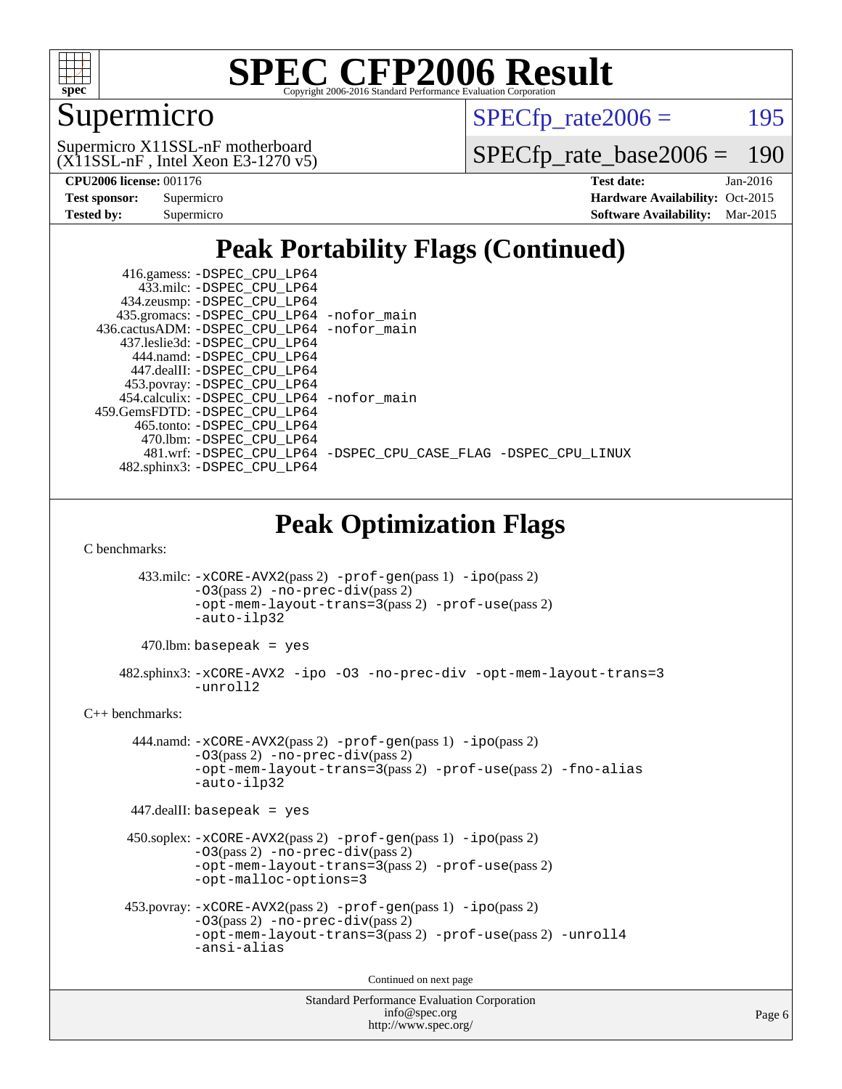

## Supermicro

 $SPECTp_rate2006 = 195$ 

 $(X11SSL-nF,$  Intel Xeon E3-1270 v5) Supermicro X11SSL-nF motherboard

[SPECfp\\_rate\\_base2006 =](http://www.spec.org/auto/cpu2006/Docs/result-fields.html#SPECfpratebase2006) 190

**[CPU2006 license:](http://www.spec.org/auto/cpu2006/Docs/result-fields.html#CPU2006license)** 001176 **[Test date:](http://www.spec.org/auto/cpu2006/Docs/result-fields.html#Testdate)** Jan-2016

| <b>Test sponsor:</b> | Supermicro |
|----------------------|------------|
| <b>Tested by:</b>    | Supermicro |

**[Hardware Availability:](http://www.spec.org/auto/cpu2006/Docs/result-fields.html#HardwareAvailability)** Oct-2015 **[Software Availability:](http://www.spec.org/auto/cpu2006/Docs/result-fields.html#SoftwareAvailability)** Mar-2015

### **[Peak Portability Flags \(Continued\)](http://www.spec.org/auto/cpu2006/Docs/result-fields.html#PeakPortabilityFlags)**

| 416.gamess: -DSPEC_CPU_LP64                                                           |  |  |  |  |  |  |  |
|---------------------------------------------------------------------------------------|--|--|--|--|--|--|--|
| 433.milc: -DSPEC_CPU_LP64                                                             |  |  |  |  |  |  |  |
| 434.zeusmp: -DSPEC_CPU_LP64                                                           |  |  |  |  |  |  |  |
| 435.gromacs: -DSPEC_CPU_LP64 -nofor_main                                              |  |  |  |  |  |  |  |
| 436.cactusADM: -DSPEC_CPU_LP64 -nofor_main                                            |  |  |  |  |  |  |  |
| 437.leslie3d: -DSPEC_CPU_LP64                                                         |  |  |  |  |  |  |  |
| 444.namd: - DSPEC_CPU_LP64                                                            |  |  |  |  |  |  |  |
| 447.dealII: -DSPEC_CPU_LP64<br>453.povray: -DSPEC_CPU_LP64                            |  |  |  |  |  |  |  |
| 454.calculix: -DSPEC_CPU_LP64 -nofor_main                                             |  |  |  |  |  |  |  |
| 459.GemsFDTD: -DSPEC_CPU_LP64                                                         |  |  |  |  |  |  |  |
| 465.tonto: - DSPEC_CPU_LP64                                                           |  |  |  |  |  |  |  |
| 470.1bm: -DSPEC_CPU_LP64                                                              |  |  |  |  |  |  |  |
| 481.wrf: -DSPEC_CPU_LP64 -DSPEC_CPU_CASE_FLAG -DSPEC_CPU_LINUX                        |  |  |  |  |  |  |  |
| 482.sphinx3: -DSPEC_CPU_LP64                                                          |  |  |  |  |  |  |  |
|                                                                                       |  |  |  |  |  |  |  |
| <b>Peak Optimization Flags</b><br>C benchmarks:                                       |  |  |  |  |  |  |  |
|                                                                                       |  |  |  |  |  |  |  |
| 433.milc: -xCORE-AVX2(pass 2) -prof-gen(pass 1) -ipo(pass 2)                          |  |  |  |  |  |  |  |
| -03(pass 2) -no-prec-div(pass 2)<br>-opt-mem-layout-trans=3(pass 2) -prof-use(pass 2) |  |  |  |  |  |  |  |
| -auto-ilp32                                                                           |  |  |  |  |  |  |  |
|                                                                                       |  |  |  |  |  |  |  |
| $470$ .lbm: basepeak = yes                                                            |  |  |  |  |  |  |  |
| 482.sphinx3: -xCORE-AVX2 -ipo -03 -no-prec-div -opt-mem-layout-trans=3<br>-unroll2    |  |  |  |  |  |  |  |
| $C_{++}$ benchmarks:                                                                  |  |  |  |  |  |  |  |
| 444.namd: -xCORE-AVX2(pass 2) -prof-gen(pass 1) -ipo(pass 2)                          |  |  |  |  |  |  |  |
| -03(pass 2) -no-prec-div(pass 2)                                                      |  |  |  |  |  |  |  |
| -opt-mem-layout-trans=3(pass 2) -prof-use(pass 2) -fno-alias                          |  |  |  |  |  |  |  |
| -auto-ilp32                                                                           |  |  |  |  |  |  |  |
|                                                                                       |  |  |  |  |  |  |  |
| $447$ .dealII: basepeak = yes                                                         |  |  |  |  |  |  |  |
| 450.soplex: -xCORE-AVX2(pass 2) -prof-gen(pass 1) -ipo(pass 2)                        |  |  |  |  |  |  |  |
| -03(pass 2) -no-prec-div(pass 2)                                                      |  |  |  |  |  |  |  |
| -opt-mem-layout-trans=3(pass 2) -prof-use(pass 2)                                     |  |  |  |  |  |  |  |
| -opt-malloc-options=3                                                                 |  |  |  |  |  |  |  |
|                                                                                       |  |  |  |  |  |  |  |
| 453.povray: -xCORE-AVX2(pass 2) -prof-gen(pass 1) -ipo(pass 2)                        |  |  |  |  |  |  |  |
| $-03$ (pass 2) $-no-prec-div(pass 2)$                                                 |  |  |  |  |  |  |  |
| -opt-mem-layout-trans=3(pass 2) -prof-use(pass 2) -unroll4                            |  |  |  |  |  |  |  |
| -ansi-alias                                                                           |  |  |  |  |  |  |  |
|                                                                                       |  |  |  |  |  |  |  |
| Continued on next page                                                                |  |  |  |  |  |  |  |
| <b>Standard Performance Evaluation Corporation</b><br>info@spec.org                   |  |  |  |  |  |  |  |

<http://www.spec.org/>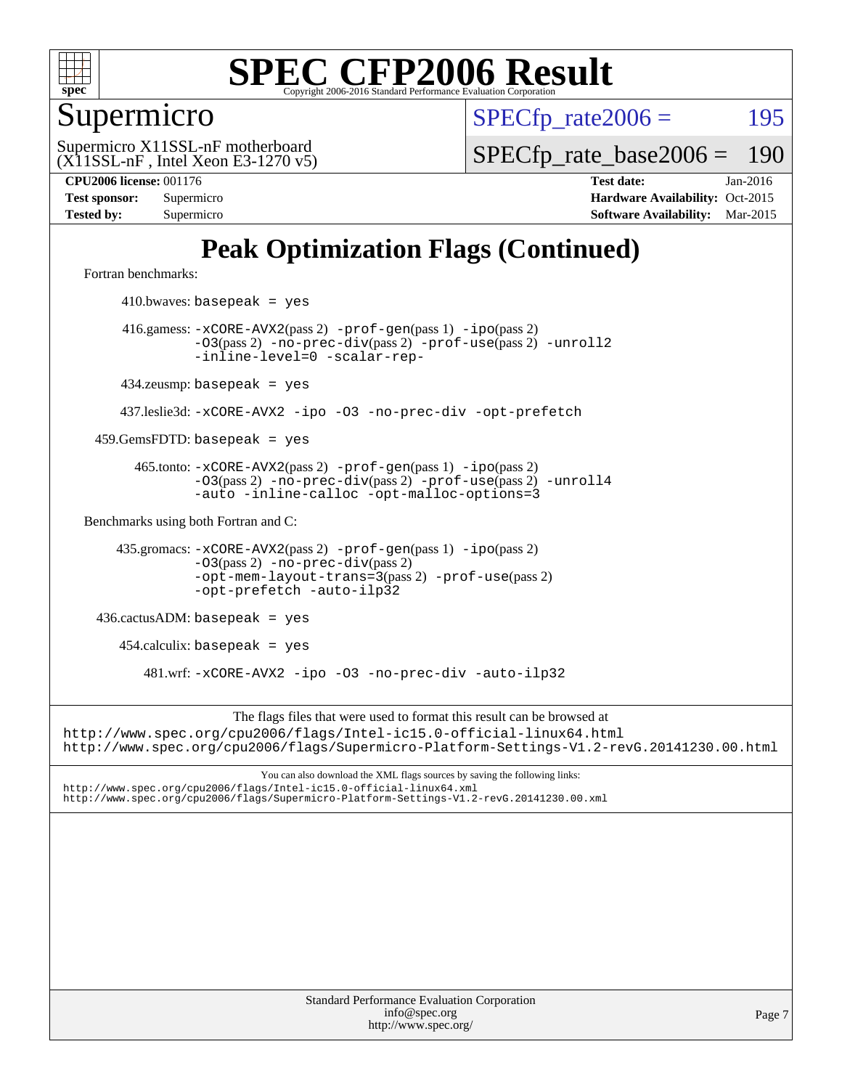

Supermicro

 $SPECTp\_rate2006 = 195$ 

Page 7

(X11SSL-nF , Intel Xeon E3-1270 v5) Supermicro X11SSL-nF motherboard

[SPECfp\\_rate\\_base2006 =](http://www.spec.org/auto/cpu2006/Docs/result-fields.html#SPECfpratebase2006) 190

**[CPU2006 license:](http://www.spec.org/auto/cpu2006/Docs/result-fields.html#CPU2006license)** 001176 **[Test date:](http://www.spec.org/auto/cpu2006/Docs/result-fields.html#Testdate)** Jan-2016 **[Test sponsor:](http://www.spec.org/auto/cpu2006/Docs/result-fields.html#Testsponsor)** Supermicro Supermicro **[Hardware Availability:](http://www.spec.org/auto/cpu2006/Docs/result-fields.html#HardwareAvailability)** Oct-2015 **[Tested by:](http://www.spec.org/auto/cpu2006/Docs/result-fields.html#Testedby)** Supermicro **[Software Availability:](http://www.spec.org/auto/cpu2006/Docs/result-fields.html#SoftwareAvailability)** Mar-2015

### **[Peak Optimization Flags \(Continued\)](http://www.spec.org/auto/cpu2006/Docs/result-fields.html#PeakOptimizationFlags)**

[Fortran benchmarks](http://www.spec.org/auto/cpu2006/Docs/result-fields.html#Fortranbenchmarks):

Standard Performance Evaluation Corporation  $410.bwaves: basepeak = yes$  416.gamess: [-xCORE-AVX2](http://www.spec.org/cpu2006/results/res2016q1/cpu2006-20160120-38732.flags.html#user_peakPASS2_FFLAGSPASS2_LDFLAGS416_gamess_f-xAVX2_5f5fc0cbe2c9f62c816d3e45806c70d7)(pass 2) [-prof-gen](http://www.spec.org/cpu2006/results/res2016q1/cpu2006-20160120-38732.flags.html#user_peakPASS1_FFLAGSPASS1_LDFLAGS416_gamess_prof_gen_e43856698f6ca7b7e442dfd80e94a8fc)(pass 1) [-ipo](http://www.spec.org/cpu2006/results/res2016q1/cpu2006-20160120-38732.flags.html#user_peakPASS2_FFLAGSPASS2_LDFLAGS416_gamess_f-ipo)(pass 2) [-O3](http://www.spec.org/cpu2006/results/res2016q1/cpu2006-20160120-38732.flags.html#user_peakPASS2_FFLAGSPASS2_LDFLAGS416_gamess_f-O3)(pass 2) [-no-prec-div](http://www.spec.org/cpu2006/results/res2016q1/cpu2006-20160120-38732.flags.html#user_peakPASS2_FFLAGSPASS2_LDFLAGS416_gamess_f-no-prec-div)(pass 2) [-prof-use](http://www.spec.org/cpu2006/results/res2016q1/cpu2006-20160120-38732.flags.html#user_peakPASS2_FFLAGSPASS2_LDFLAGS416_gamess_prof_use_bccf7792157ff70d64e32fe3e1250b55)(pass 2) [-unroll2](http://www.spec.org/cpu2006/results/res2016q1/cpu2006-20160120-38732.flags.html#user_peakOPTIMIZE416_gamess_f-unroll_784dae83bebfb236979b41d2422d7ec2) [-inline-level=0](http://www.spec.org/cpu2006/results/res2016q1/cpu2006-20160120-38732.flags.html#user_peakOPTIMIZE416_gamess_f-inline-level_318d07a09274ad25e8d15dbfaa68ba50) [-scalar-rep-](http://www.spec.org/cpu2006/results/res2016q1/cpu2006-20160120-38732.flags.html#user_peakOPTIMIZE416_gamess_f-disablescalarrep_abbcad04450fb118e4809c81d83c8a1d) 434.zeusmp: basepeak = yes 437.leslie3d: [-xCORE-AVX2](http://www.spec.org/cpu2006/results/res2016q1/cpu2006-20160120-38732.flags.html#user_peakOPTIMIZE437_leslie3d_f-xAVX2_5f5fc0cbe2c9f62c816d3e45806c70d7) [-ipo](http://www.spec.org/cpu2006/results/res2016q1/cpu2006-20160120-38732.flags.html#user_peakOPTIMIZE437_leslie3d_f-ipo) [-O3](http://www.spec.org/cpu2006/results/res2016q1/cpu2006-20160120-38732.flags.html#user_peakOPTIMIZE437_leslie3d_f-O3) [-no-prec-div](http://www.spec.org/cpu2006/results/res2016q1/cpu2006-20160120-38732.flags.html#user_peakOPTIMIZE437_leslie3d_f-no-prec-div) [-opt-prefetch](http://www.spec.org/cpu2006/results/res2016q1/cpu2006-20160120-38732.flags.html#user_peakOPTIMIZE437_leslie3d_f-opt-prefetch)  $459.GemsFDTD: basepeak = yes$  465.tonto: [-xCORE-AVX2](http://www.spec.org/cpu2006/results/res2016q1/cpu2006-20160120-38732.flags.html#user_peakPASS2_FFLAGSPASS2_LDFLAGS465_tonto_f-xAVX2_5f5fc0cbe2c9f62c816d3e45806c70d7)(pass 2) [-prof-gen](http://www.spec.org/cpu2006/results/res2016q1/cpu2006-20160120-38732.flags.html#user_peakPASS1_FFLAGSPASS1_LDFLAGS465_tonto_prof_gen_e43856698f6ca7b7e442dfd80e94a8fc)(pass 1) [-ipo](http://www.spec.org/cpu2006/results/res2016q1/cpu2006-20160120-38732.flags.html#user_peakPASS2_FFLAGSPASS2_LDFLAGS465_tonto_f-ipo)(pass 2) [-O3](http://www.spec.org/cpu2006/results/res2016q1/cpu2006-20160120-38732.flags.html#user_peakPASS2_FFLAGSPASS2_LDFLAGS465_tonto_f-O3)(pass 2) [-no-prec-div](http://www.spec.org/cpu2006/results/res2016q1/cpu2006-20160120-38732.flags.html#user_peakPASS2_FFLAGSPASS2_LDFLAGS465_tonto_f-no-prec-div)(pass 2) [-prof-use](http://www.spec.org/cpu2006/results/res2016q1/cpu2006-20160120-38732.flags.html#user_peakPASS2_FFLAGSPASS2_LDFLAGS465_tonto_prof_use_bccf7792157ff70d64e32fe3e1250b55)(pass 2) [-unroll4](http://www.spec.org/cpu2006/results/res2016q1/cpu2006-20160120-38732.flags.html#user_peakOPTIMIZE465_tonto_f-unroll_4e5e4ed65b7fd20bdcd365bec371b81f) [-auto](http://www.spec.org/cpu2006/results/res2016q1/cpu2006-20160120-38732.flags.html#user_peakOPTIMIZE465_tonto_f-auto) [-inline-calloc](http://www.spec.org/cpu2006/results/res2016q1/cpu2006-20160120-38732.flags.html#user_peakOPTIMIZE465_tonto_f-inline-calloc) [-opt-malloc-options=3](http://www.spec.org/cpu2006/results/res2016q1/cpu2006-20160120-38732.flags.html#user_peakOPTIMIZE465_tonto_f-opt-malloc-options_13ab9b803cf986b4ee62f0a5998c2238) [Benchmarks using both Fortran and C](http://www.spec.org/auto/cpu2006/Docs/result-fields.html#BenchmarksusingbothFortranandC): 435.gromacs: [-xCORE-AVX2](http://www.spec.org/cpu2006/results/res2016q1/cpu2006-20160120-38732.flags.html#user_peakPASS2_CFLAGSPASS2_FFLAGSPASS2_LDFLAGS435_gromacs_f-xAVX2_5f5fc0cbe2c9f62c816d3e45806c70d7)(pass 2) [-prof-gen](http://www.spec.org/cpu2006/results/res2016q1/cpu2006-20160120-38732.flags.html#user_peakPASS1_CFLAGSPASS1_FFLAGSPASS1_LDFLAGS435_gromacs_prof_gen_e43856698f6ca7b7e442dfd80e94a8fc)(pass 1) [-ipo](http://www.spec.org/cpu2006/results/res2016q1/cpu2006-20160120-38732.flags.html#user_peakPASS2_CFLAGSPASS2_FFLAGSPASS2_LDFLAGS435_gromacs_f-ipo)(pass 2) [-O3](http://www.spec.org/cpu2006/results/res2016q1/cpu2006-20160120-38732.flags.html#user_peakPASS2_CFLAGSPASS2_FFLAGSPASS2_LDFLAGS435_gromacs_f-O3)(pass 2) [-no-prec-div](http://www.spec.org/cpu2006/results/res2016q1/cpu2006-20160120-38732.flags.html#user_peakPASS2_CFLAGSPASS2_FFLAGSPASS2_LDFLAGS435_gromacs_f-no-prec-div)(pass 2) [-opt-mem-layout-trans=3](http://www.spec.org/cpu2006/results/res2016q1/cpu2006-20160120-38732.flags.html#user_peakPASS2_CFLAGS435_gromacs_f-opt-mem-layout-trans_a7b82ad4bd7abf52556d4961a2ae94d5)(pass 2) [-prof-use](http://www.spec.org/cpu2006/results/res2016q1/cpu2006-20160120-38732.flags.html#user_peakPASS2_CFLAGSPASS2_FFLAGSPASS2_LDFLAGS435_gromacs_prof_use_bccf7792157ff70d64e32fe3e1250b55)(pass 2) [-opt-prefetch](http://www.spec.org/cpu2006/results/res2016q1/cpu2006-20160120-38732.flags.html#user_peakOPTIMIZE435_gromacs_f-opt-prefetch) [-auto-ilp32](http://www.spec.org/cpu2006/results/res2016q1/cpu2006-20160120-38732.flags.html#user_peakCOPTIMIZE435_gromacs_f-auto-ilp32) 436.cactusADM: basepeak = yes  $454$ .calculix: basepeak = yes 481.wrf: [-xCORE-AVX2](http://www.spec.org/cpu2006/results/res2016q1/cpu2006-20160120-38732.flags.html#user_peakOPTIMIZE481_wrf_f-xAVX2_5f5fc0cbe2c9f62c816d3e45806c70d7) [-ipo](http://www.spec.org/cpu2006/results/res2016q1/cpu2006-20160120-38732.flags.html#user_peakOPTIMIZE481_wrf_f-ipo) [-O3](http://www.spec.org/cpu2006/results/res2016q1/cpu2006-20160120-38732.flags.html#user_peakOPTIMIZE481_wrf_f-O3) [-no-prec-div](http://www.spec.org/cpu2006/results/res2016q1/cpu2006-20160120-38732.flags.html#user_peakOPTIMIZE481_wrf_f-no-prec-div) [-auto-ilp32](http://www.spec.org/cpu2006/results/res2016q1/cpu2006-20160120-38732.flags.html#user_peakCOPTIMIZE481_wrf_f-auto-ilp32) The flags files that were used to format this result can be browsed at <http://www.spec.org/cpu2006/flags/Intel-ic15.0-official-linux64.html> <http://www.spec.org/cpu2006/flags/Supermicro-Platform-Settings-V1.2-revG.20141230.00.html> You can also download the XML flags sources by saving the following links: <http://www.spec.org/cpu2006/flags/Intel-ic15.0-official-linux64.xml> <http://www.spec.org/cpu2006/flags/Supermicro-Platform-Settings-V1.2-revG.20141230.00.xml>

> [info@spec.org](mailto:info@spec.org) <http://www.spec.org/>